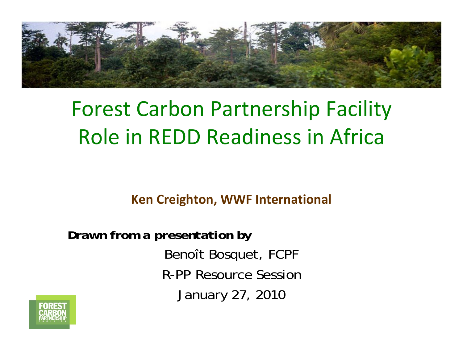

# Forest Carbon Partnership Facility Role in REDD Readiness in Africa

**Ken Creighton, WWF International**

*Drawn from a presentation by* Benoît Bosquet, FCPF R-PP Resource SessionJanuary 27, 2010

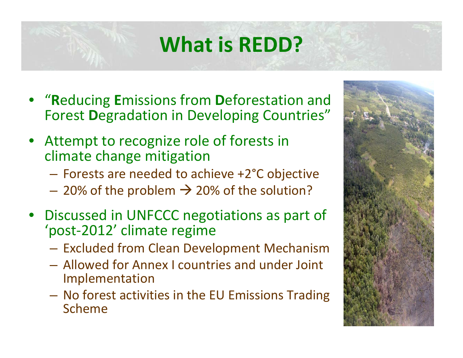# **What is REDD?**

- "**R**educing **E**missions from **D**eforestation and Forest **D**egradation in Developing Countries"
- Attempt to recognize role of forests in climate change mitigation
	- Forests are needed to achieve +2°C objective
	- $-$  20% of the problem  $\rightarrow$  20% of the solution?
- Discussed in UNFCCC negotiations as part of 'post‐2012' climate regime
	- Excluded from Clean Development Mechanism
	- Allowed for Annex I countries and under Joint Implementation
	- No forest activities in the EU Emissions Trading Scheme

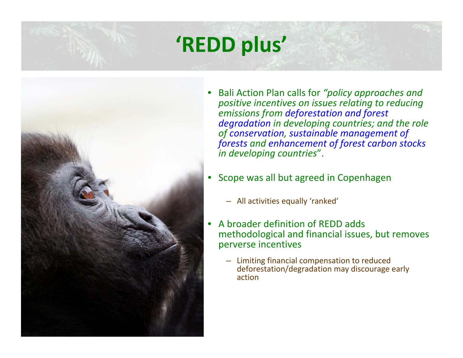# **'REDD plus'**



- Bali Action Plan calls for *"policy approaches and positive incentives on issues relating to reducing emissions from deforestation and forest degradation in developing countries; and the role of conservation, sustainable management of forests and enhancement of forest carbon stocks in developing countries*".
- Scope was all but agreed in Copenhagen
	- All activities equally 'ranked'
- A broader definition of REDD adds methodological and financial issues, but removes perverse incentives
	- Limiting financial compensation to reduced deforestation/degradation may discourage early action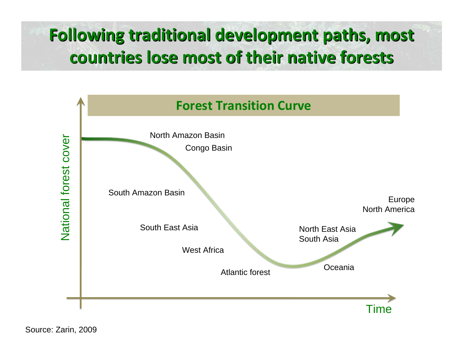### **Following traditional development paths, most Following traditional development paths, most countries lose most of their native forests countries lose most of their native forests**

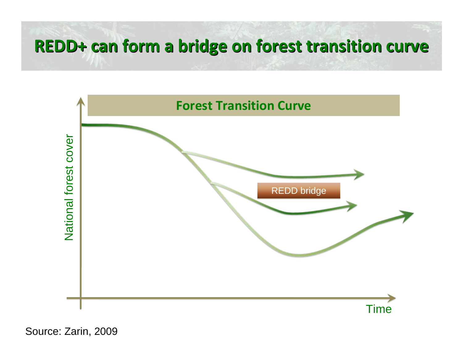### **REDD+ can form <sup>a</sup> bridge on forest transition transition curve**



Source: Zarin, 2009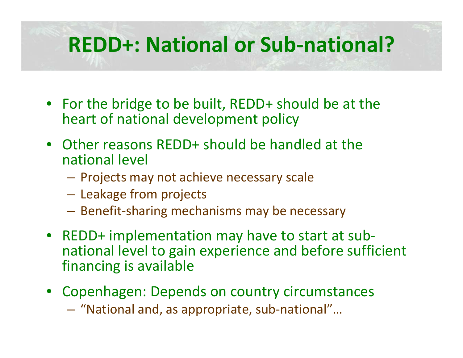## **REDD+: National or Sub‐national?**

- For the bridge to be built, REDD+ should be at the heart of national development policy
- Other reasons REDD+ should be handled at the national level
	- Projects may not achieve necessary scale
	- Leakage from projects
	- Benefit‐sharing mechanisms may be necessary
- REDD+ implementation may have to start at sub‐ national level to gain experience and before sufficient financing is available
- Copenhagen: Depends on country circumstances
	- "National and, as appropriate, sub‐national"…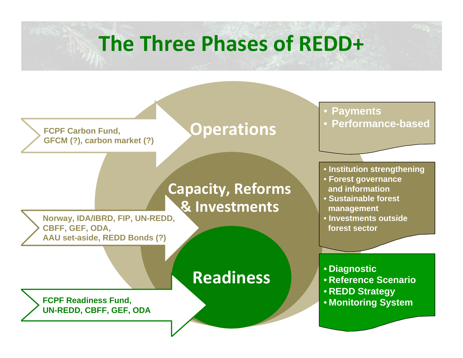## **The Three Phases of REDD+**

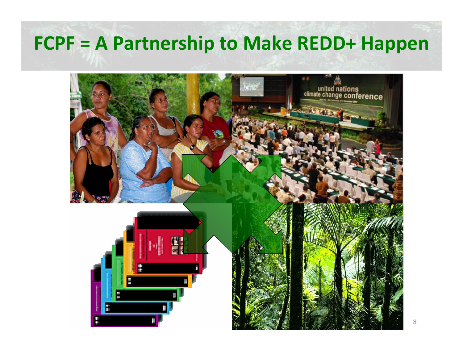### **FCPF <sup>=</sup> A Partnership to Make REDD+ Happen**

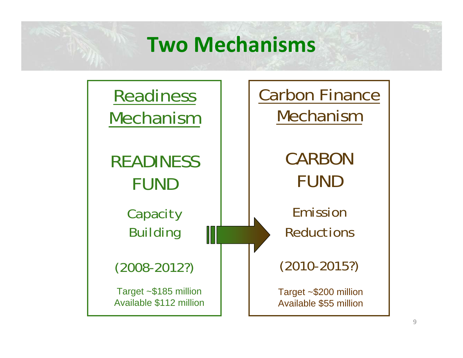## **Two Mechanisms**

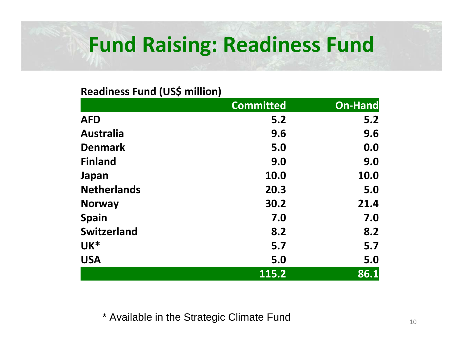# **Fund Raising: Readiness Fund**

#### **Readiness Fund (US\$ million)**

|                    | <b>Committed</b> | <b>On-Hand</b> |
|--------------------|------------------|----------------|
| <b>AFD</b>         | 5.2              | 5.2            |
| <b>Australia</b>   | 9.6              | 9.6            |
| <b>Denmark</b>     | 5.0              | 0.0            |
| <b>Finland</b>     | 9.0              | 9.0            |
| Japan              | 10.0             | 10.0           |
| <b>Netherlands</b> | 20.3             | 5.0            |
| <b>Norway</b>      | 30.2             | 21.4           |
| <b>Spain</b>       | 7.0              | 7.0            |
| <b>Switzerland</b> | 8.2              | 8.2            |
| UK*                | 5.7              | 5.7            |
| <b>USA</b>         | 5.0              | 5.0            |
|                    | 115.2            | 86.1           |

\* Available in the Strategic Climate Fund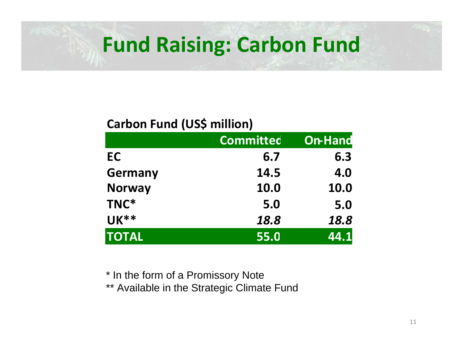## **Fund Raising: Carbon Fund**

### **Carbon Fund (US\$ million)**

|                | <b>Committed</b> | <b>On-Hand</b> |
|----------------|------------------|----------------|
| EC             | 6.7              | 6.3            |
| <b>Germany</b> | 14.5             | 4.0            |
| <b>Norway</b>  | 10.0             | 10.0           |
| TNC*           | 5.0              | 5.0            |
| <b>UK**</b>    | 18.8             | 18.8           |
| <b>TOTAL</b>   | 55.0             | 44.1           |

\* In the form of a Promissory Note

\*\* Available in the Strategic Climate Fund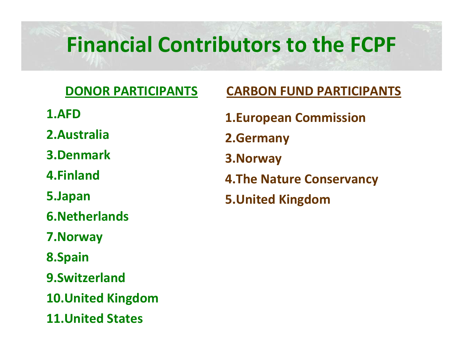# **Financial Contributors to the FCPF**

### **DONOR PARTICIPANTS**

- **1.AFD**
- **2.Australia**
- **3.Denmark**
- **4.Finland**
- **5.Japan**
- **6.Netherlands**
- **7.Norway**
- **8.Spain**
- **9.Switzerland**
- **10.United Kingdom**
- **11.United States**

### **CARBON FUND PARTICIPANTS**

- **1.European Commission 2.Germany 3.Norway 4.The Nature Conservancy**
- **5.United Kingdom**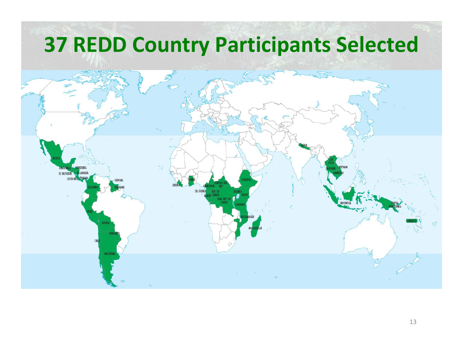## **REDD Country Participants Selected**

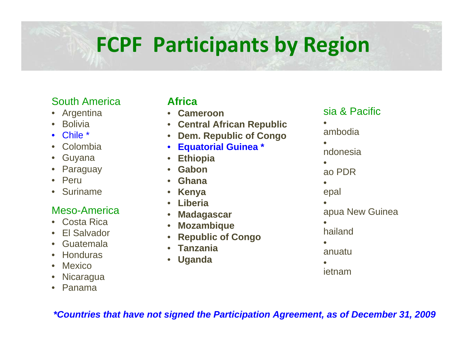# **FCPF Participants by Region**

#### South America

- Argentina
- Bolivia
- Chile \*
- Colombia
- Guyana
- Paraguay
- Peru
- Suriname

#### Meso-America

- Costa Rica
- El Salvador
- Guatemala
- Honduras
- Mexico
- Nicaragua
- Panama

#### **Africa**

- **Cameroon**
- **Central African Republic**
- **Dem. Republic of Congo**
- **Equatorial Guinea \***
- **Ethiopia**
- **Gabon**
- **Ghana**
- **Kenya**
- **Liberia**
- **Madagascar**
- **Mozambique**
- **Republic of Congo**
- **Tanzania**
- **Uganda**

#### sia & Pacific

- ambodia
- •
- ndonesia
- ao PDR
- epal
- apua New Guinea
- hailand
- anuatu
- ietnam

*\*Countries that have not signed the Participation Agreement, as of December 31, 2009*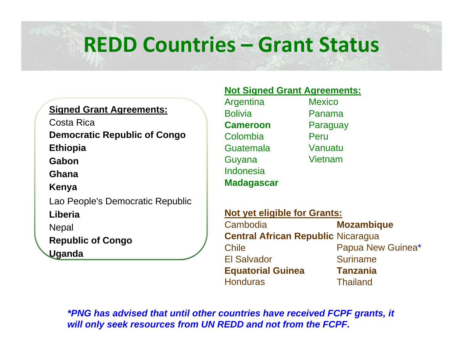## **REDD Countries – Grant Status**

#### **Signed Grant Agreements:**

Costa Rica

**Democratic Republic of Congo**

**Ethiopia**

**Gabon**

**Ghana**

**Kenya**

Lao People's Democratic Republic

**Liberia**

**Nepal** 

**Republic of Congo**

**Uganda**

#### **Not Signed Grant Agreements:**

| Argentina         | <b>Mexico</b> |
|-------------------|---------------|
| <b>Bolivia</b>    | Panama        |
| <b>Cameroon</b>   | Paraguay      |
| Colombia          | Peru          |
| Guatemala         | Vanuatu       |
| Guyana            | Vietnam       |
| Indonesia         |               |
| <b>Madagascar</b> |               |

| <b>Not yet eligible for Grants:</b>       |                   |  |  |
|-------------------------------------------|-------------------|--|--|
| Cambodia                                  | <b>Mozambique</b> |  |  |
| <b>Central African Republic Nicaragua</b> |                   |  |  |
| <b>Chile</b>                              | Papua New Guinea* |  |  |
| <b>El Salvador</b>                        | <b>Suriname</b>   |  |  |
| <b>Equatorial Guinea</b>                  | <b>Tanzania</b>   |  |  |
| <b>Honduras</b>                           | <b>Thailand</b>   |  |  |

*\*PNG has advised that until other countries have received FCPF grants, it will only seek resources from UN REDD and not from the FCPF.*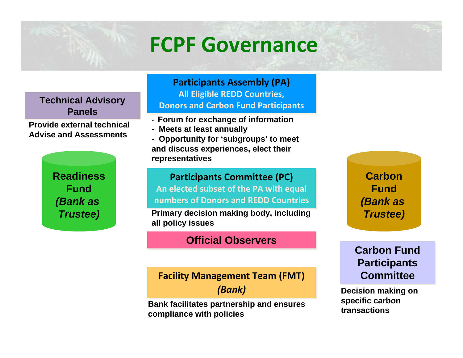## **FCPF Governance**

**Technical Advisory Technical Advisory Panels Panels**

**Provide external technical Advise and Assessments**

> **ReadinessFund***(Bank as Trustee)*

**Participants Assembly (PA) Participants Assembly (PA) All Eligible REDD Countries, All Eligible REDD Countries, Donors and Carbon Fund Participants Donors and Carbon Fund Participants**

- **Forum for exchange of information**
- **Meets at least annually**
- **Opportunity for 'subgroups' to meet and discuss experiences, elect their representatives**

#### **Participants Committee (PC) Participants Committee (PC)**

**An elected subset of the PA with equal An elected subset of the PA with equal numbers of Donors and REDD Countries numbers of Donors and REDD Countries**

**Primary decision making body, including all policy issues**

#### **Official Observers Official Observers**

#### **Facility Management Team (FMT) Facility Management Team (FMT)**

*(Bank) (Bank)*

**Bank facilitates partnership and ensures compliance with policies** 

**CarbonFund***(Bank as Trustee)*

**Carbon Fund Carbon Fund Participants Participants CommitteeCommittee**

**Decision making on specific carbon transactions**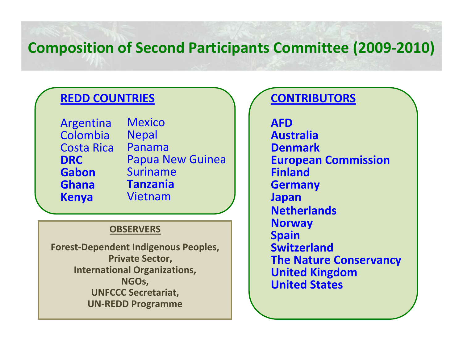### **Composition of Second Participants Committee (2009‐2010)**

### **REDD COUNTRIES**

Argentina Colombia Costa Rica **DRCGabonGhanaKenya** MexicoNepal PanamaPapua New Guinea Suriname**Tanzania**Vietnam

#### **OBSERVERS**

**Forest‐Dependent Indigenous Peoples, Private Sector, International Organizations, NGOs, UNFCCC Secretariat, UN‐REDD Programme**

### **CONTRIBUTORS**

**AFDAustraliaDenmarkEuropean Commission FinlandGermany Japan Netherlands Norway Spain SwitzerlandThe Nature Conservancy United Kingdom United States**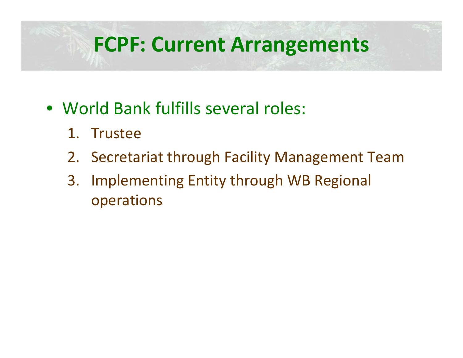## **FCPF: Current Arrangements**

- World Bank fulfills several roles:
	- 1. Trustee
	- 2. Secretariat through Facility Management Team
	- 3. Implementing Entity through WB Regional operations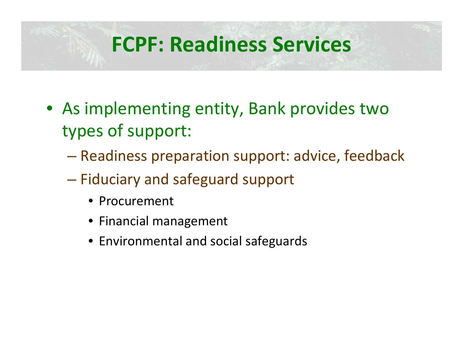## **FCPF: Readiness Services**

- As implementing entity, Bank provides two types of support:
	- Readiness preparation support: advice, feedback
	- Fiduciary and safeguard support
		- Procurement
		- Financial management
		- Environmental and social safeguards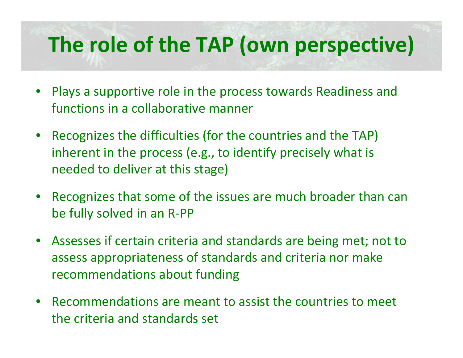# **The role of the TAP (own perspective)**

- Plays <sup>a</sup> supportive role in the process towards Readiness and functions in <sup>a</sup> collaborative manner
- Recognizes the difficulties (for the countries and the TAP) inherent in the process (e.g., to identify precisely what is needed to deliver at this stage)
- Recognizes that some of the issues are much broader than can be fully solved in an R‐PP
- Assesses if certain criteria and standards are being met; not to assess appropriateness of standards and criteria nor make recommendations about funding
- Recommendations are meant to assist the countries to meet the criteria and standards set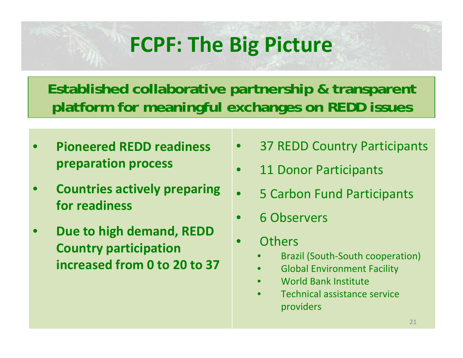## **FCPF: The Big Picture**

**Established collaborative partnership & transparent platform for meaningful exchanges on REDD issues**

- **Pioneered REDD readiness preparation process**
- **Countries actively preparing for readiness**
- **Due to high demand, REDD Country participation increased from 0 to 20 to 37**
- 37 REDD Country Participants
- 11 Donor Participants
- 5 Carbon Fund Participants
- 6 Observers
- **Others** 
	- Brazil (South‐South cooperation)
	- Global Environment Facility
	- World Bank Institute
	- Technical assistance service providers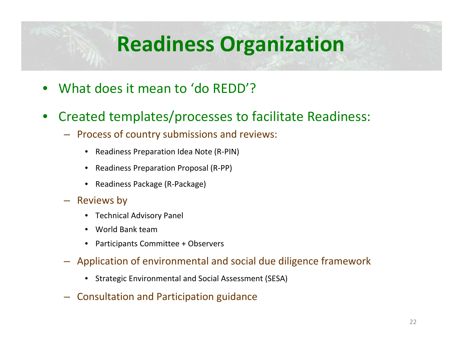# **Readiness Organization**

- What does it mean to 'do REDD'?
- Created templates/processes to facilitate Readiness:
	- Process of country submissions and reviews:
		- Readiness Preparation Idea Note (R‐PIN)
		- Readiness Preparation Proposal (R‐PP)
		- Readiness Package (R‐Package)
	- Reviews by
		- Technical Advisory Panel
		- World Bank team
		- Participants Committee <sup>+</sup> Observers
	- Application of environmental and social due diligence framework
		- Strategic Environmental and Social Assessment (SESA)
	- Consultation and Participation guidance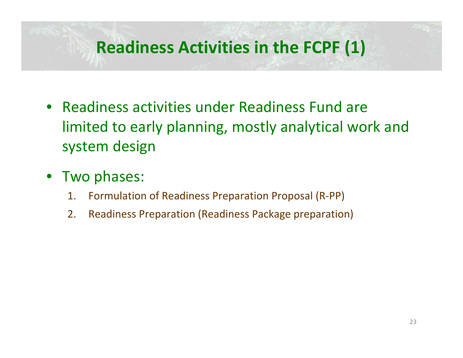### **Readiness Activities in the FCPF (1)**

- Readiness activities under Readiness Fund are limited to early planning, mostly analytical work and system design
- Two phases:
	- 1.Formulation of Readiness Preparation Proposal (R‐PP)
	- 2.Readiness Preparation (Readiness Package preparation)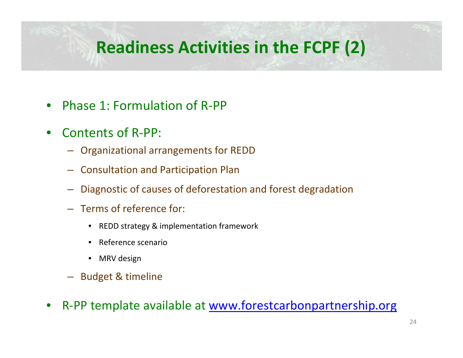### **Readiness Activities in the FCPF (2)**

- Phase 1: Formulation of R‐PP
- Contents of R‐PP:
	- Organizational arrangements for REDD
	- Consultation and Participation Plan
	- Diagnostic of causes of deforestation and forest degradation
	- Terms of reference for:
		- REDD strategy & implementation framework
		- Reference scenario
		- MRV design
	- Budget & timeline
- R-PP template available at [www.forestcarbonpartnership.org](http://www.forestcarbonparrnership.org/)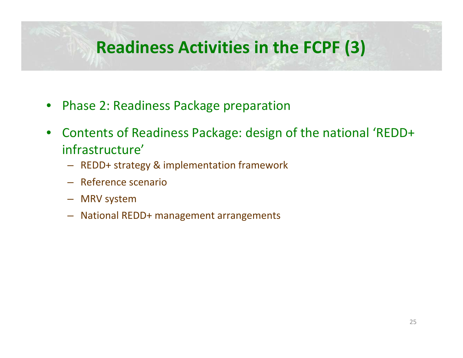### **Readiness Activities in the FCPF (3)**

- Phase 2: Readiness Package preparation
- Contents of Readiness Package: design of the national 'REDD+ infrastructure'
	- REDD+ strategy & implementation framework
	- Reference scenario
	- MRV system
	- National REDD+ management arrangements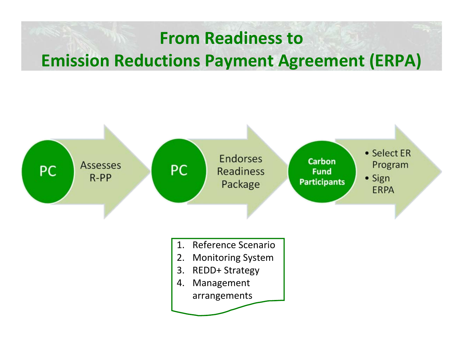### **From Readiness to Emission Reductions Payment Agreement (ERPA)**

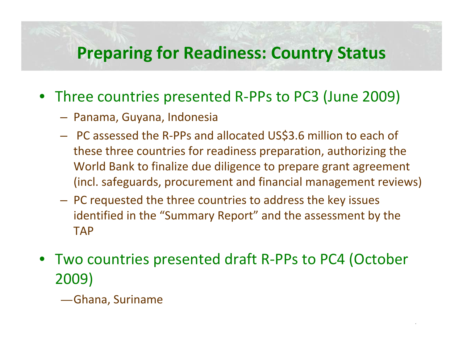### **Preparing for Readiness: Country Status**

- Three countries presented R‐PPs to PC3 (June 2009)
	- Panama, Guyana, Indonesia
	- PC assessed the R‐PPs and allocated US\$3.6 million to each of these three countries for readiness preparation, authorizing the World Bank to finalize due diligence to prepare grant agreement (incl. safeguards, procurement and financial management reviews)
	- PC requested the three countries to address the key issues identified in the "Summary Report" and the assessment by the TAP
- Two countries presented draft R‐PPs to PC4 (October 2009)
	- Ghana, Suriname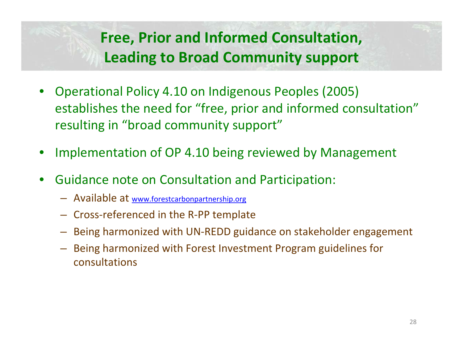### **Free, Prior and Informed Consultation, Leading to Broad Community support**

- Operational Policy 4.10 on Indigenous Peoples (2005) establishes the need for "free, prior and informed consultation" resulting in "broad community support"
- Implementation of OP 4.10 being reviewed by Management
- Guidance note on Consultation and Participation:
	- Available at [www.forestcarbonpartnership.org](http://www.forestcarbonpartnership.org/)
	- Cross‐referenced in the R‐PP template
	- Being harmonized with UN‐REDD guidance on stakeholder engagement
	- Being harmonized with Forest Investment Program guidelines for consultations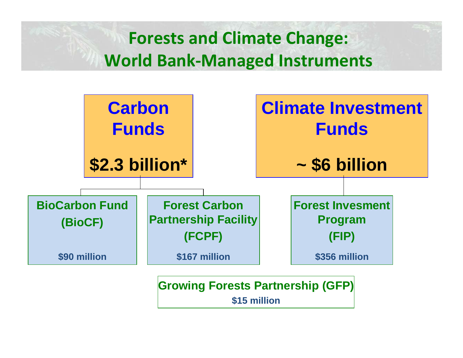**Forests and Climate Change: World Bank‐Managed Instruments**



**\$15 million**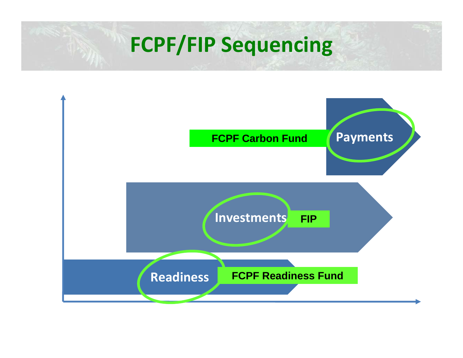## **FCPF/FIP Sequencing**

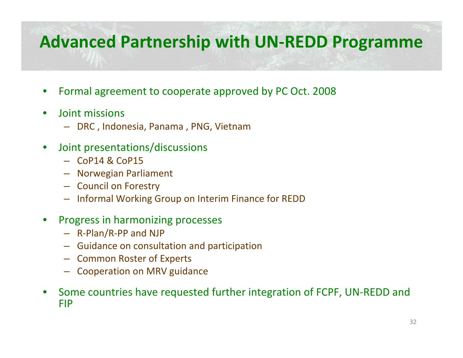### **Advanced Partnership with UN‐REDD Programme**

- Formal agreement to cooperate approved by PC Oct. 2008
- Joint missions
	- DRC , Indonesia, Panama , PNG, Vietnam
- Joint presentations/discussions
	- CoP14 & CoP15
	- Norwegian Parliament
	- Council on Forestry
	- Informal Working Group on Interim Finance for REDD
- Progress in harmonizing processes
	- R‐Plan/R‐PP and NJP
	- Guidance on consultation and participation
	- Common Roster of Experts
	- Cooperation on MRV guidance
- Some countries have requested further integration of FCPF, UN‐REDD and FIP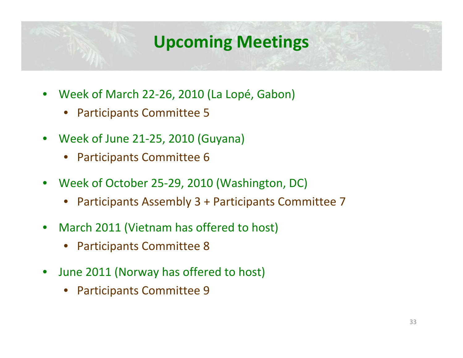### **Upcoming Meetings**

- Week of March 22‐26, 2010 (La Lopé, Gabon)
	- Participants Committee 5
- Week of June 21‐25, 2010 (Guyana)
	- Participants Committee 6
- Week of October 25‐29, 2010 (Washington, DC)
	- Participants Assembly 3 <sup>+</sup> Participants Committee 7
- March 2011 (Vietnam has offered to host)
	- Participants Committee 8
- June 2011 (Norway has offered to host)
	- Participants Committee 9